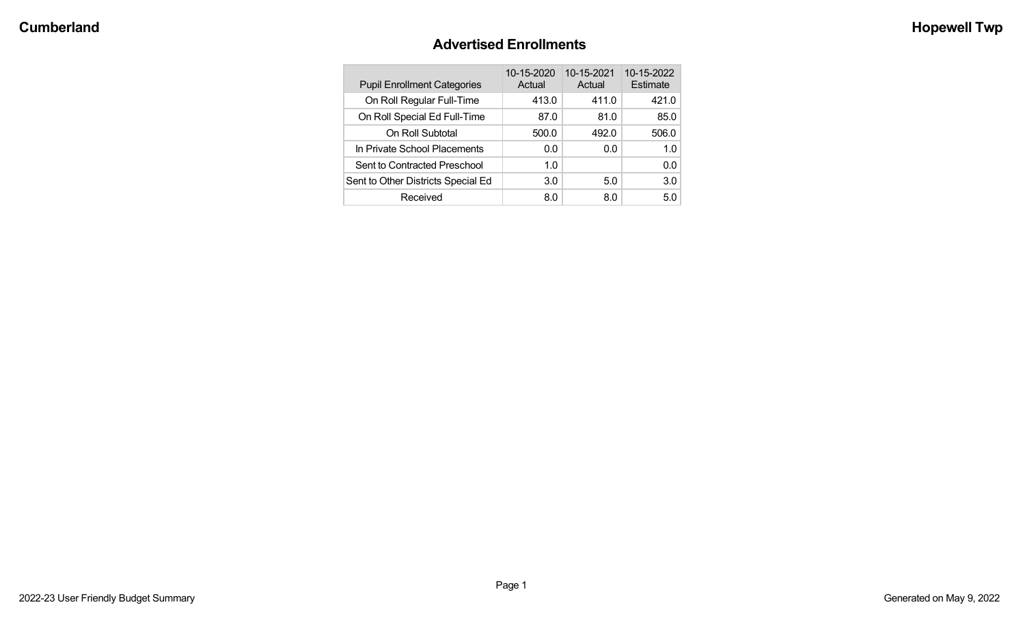# **Advertised Enrollments**

| <b>Pupil Enrollment Categories</b> | 10-15-2020<br>Actual | 10-15-2021<br>Actual | 10-15-2022<br>Estimate |
|------------------------------------|----------------------|----------------------|------------------------|
| On Roll Regular Full-Time          | 413.0                | 411.0                | 421.0                  |
| On Roll Special Ed Full-Time       | 87.0                 | 81.0                 | 85.0                   |
| On Roll Subtotal                   | 500.0                | 492.0                | 506.0                  |
| In Private School Placements       | 0.0                  | 0.0                  | 1.0                    |
| Sent to Contracted Preschool       | 1.0                  |                      | 0.0                    |
| Sent to Other Districts Special Ed | 3.0                  | 5.0                  | 3.0                    |
| Received                           | 8.0                  | 80                   | 5.0                    |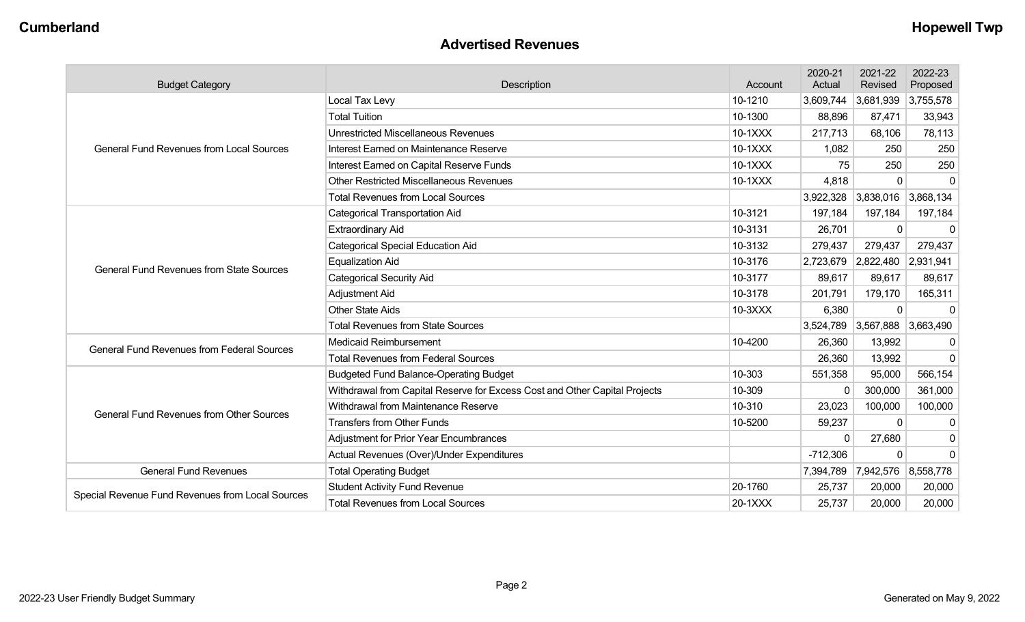#### **Advertised Revenues**

| <b>Budget Category</b>                            | Description                                                                |           | 2020-21<br>Actual | 2021-22<br>Revised            | 2022-23<br>Proposed |
|---------------------------------------------------|----------------------------------------------------------------------------|-----------|-------------------|-------------------------------|---------------------|
|                                                   | Local Tax Levy                                                             | 10-1210   | 3,609,744         | 3,681,939                     | 3,755,578           |
|                                                   | <b>Total Tuition</b>                                                       | 10-1300   | 88,896            | 87,471                        | 33,943              |
|                                                   | <b>Unrestricted Miscellaneous Revenues</b>                                 | 10-1XXX   | 217,713           | 68,106                        | 78,113              |
| <b>General Fund Revenues from Local Sources</b>   | Interest Earned on Maintenance Reserve                                     | 10-1XXX   | 1,082             | 250                           | 250                 |
|                                                   | Interest Earned on Capital Reserve Funds                                   | 10-1XXX   | 75                | 250                           | 250                 |
|                                                   | <b>Other Restricted Miscellaneous Revenues</b>                             | $10-1XXX$ | 4,818             | $\Omega$                      | $\mathbf 0$         |
|                                                   | <b>Total Revenues from Local Sources</b>                                   |           | 3,922,328         | 3,838,016                     | 3,868,134           |
|                                                   | <b>Categorical Transportation Aid</b>                                      | 10-3121   | 197,184           | 197,184                       | 197,184             |
|                                                   | <b>Extraordinary Aid</b>                                                   | 10-3131   | 26,701            | $\Omega$                      | $\mathbf 0$         |
|                                                   | <b>Categorical Special Education Aid</b>                                   | 10-3132   | 279,437           | 279,437                       | 279,437             |
| <b>General Fund Revenues from State Sources</b>   | <b>Equalization Aid</b>                                                    | 10-3176   |                   | 2,723,679 2,822,480           | 2,931,941           |
|                                                   | <b>Categorical Security Aid</b>                                            | 10-3177   | 89,617            | 89,617                        | 89,617              |
|                                                   | Adjustment Aid                                                             | 10-3178   | 201,791           | 179,170                       | 165,311             |
|                                                   | <b>Other State Aids</b>                                                    | 10-3XXX   | 6,380             | $\Omega$                      | $\Omega$            |
|                                                   | <b>Total Revenues from State Sources</b>                                   |           | 3,524,789         | 3,567,888                     | 3,663,490           |
| <b>General Fund Revenues from Federal Sources</b> | <b>Medicaid Reimbursement</b>                                              | 10-4200   | 26,360            | 13,992                        | $\mathbf 0$         |
|                                                   | <b>Total Revenues from Federal Sources</b>                                 |           | 26,360            | 13,992                        | $\Omega$            |
|                                                   | <b>Budgeted Fund Balance-Operating Budget</b>                              | 10-303    | 551,358           | 95,000                        | 566,154             |
|                                                   | Withdrawal from Capital Reserve for Excess Cost and Other Capital Projects | 10-309    | $\mathbf 0$       | 300,000                       | 361,000             |
| <b>General Fund Revenues from Other Sources</b>   | Withdrawal from Maintenance Reserve                                        | 10-310    | 23,023            | 100,000                       | 100,000             |
|                                                   | <b>Transfers from Other Funds</b>                                          | 10-5200   | 59,237            | $\Omega$                      | 0                   |
|                                                   | Adjustment for Prior Year Encumbrances                                     |           | $\mathbf{0}$      | 27,680                        | $\mathbf 0$         |
|                                                   | Actual Revenues (Over)/Under Expenditures                                  |           | $-712,306$        | $\Omega$                      | $\mathbf 0$         |
| <b>General Fund Revenues</b>                      | <b>Total Operating Budget</b>                                              |           |                   | 7,394,789 7,942,576 8,558,778 |                     |
|                                                   | <b>Student Activity Fund Revenue</b>                                       | 20-1760   | 25,737            | 20,000                        | 20,000              |
| Special Revenue Fund Revenues from Local Sources  | <b>Total Revenues from Local Sources</b>                                   | 20-1XXX   | 25,737            | 20,000                        | 20,000              |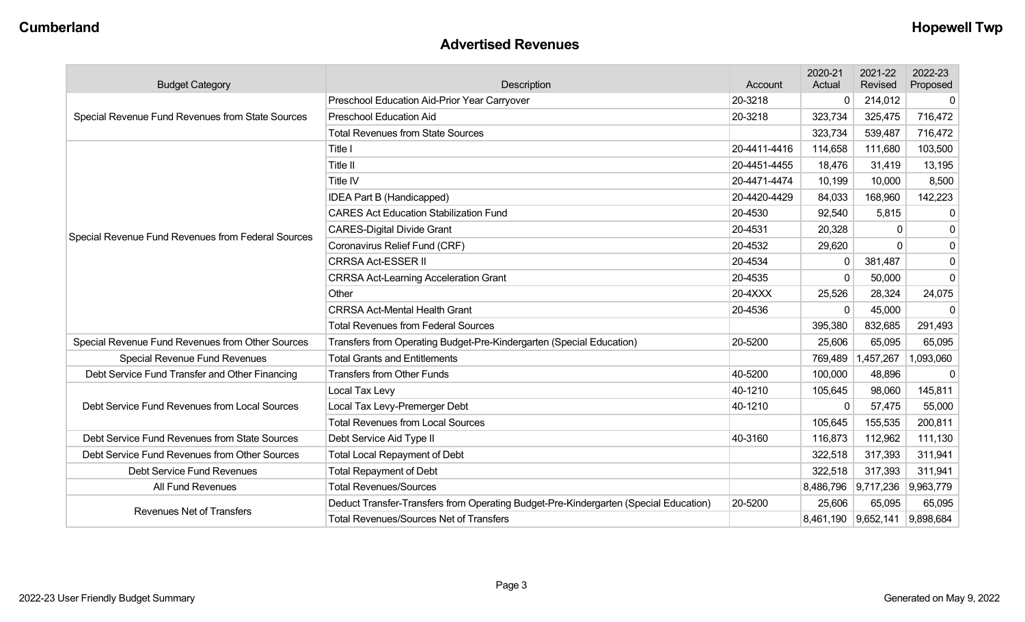#### **Advertised Revenues**

| <b>Budget Category</b>                             | Description                                                                          | Account      | 2020-21<br>Actual | 2021-22<br>Revised            | 2022-23<br>Proposed |
|----------------------------------------------------|--------------------------------------------------------------------------------------|--------------|-------------------|-------------------------------|---------------------|
|                                                    | 20-3218<br>Preschool Education Aid-Prior Year Carryover                              |              | $\mathbf 0$       | 214,012                       | $\mathbf 0$         |
| Special Revenue Fund Revenues from State Sources   | <b>Preschool Education Aid</b>                                                       | 20-3218      | 323,734           | 325,475                       | 716,472             |
|                                                    | <b>Total Revenues from State Sources</b>                                             |              | 323,734           | 539,487                       | 716,472             |
|                                                    | Title I                                                                              | 20-4411-4416 | 114,658           | 111,680                       | 103,500             |
|                                                    | Title II                                                                             | 20-4451-4455 | 18,476            | 31,419                        | 13,195              |
|                                                    | Title IV                                                                             | 20-4471-4474 | 10,199            | 10,000                        | 8,500               |
|                                                    | IDEA Part B (Handicapped)                                                            | 20-4420-4429 | 84,033            | 168,960                       | 142,223             |
|                                                    | <b>CARES Act Education Stabilization Fund</b>                                        | 20-4530      | 92,540            | 5,815                         | $\mathbf 0$         |
| Special Revenue Fund Revenues from Federal Sources | <b>CARES-Digital Divide Grant</b>                                                    | 20-4531      | 20,328            | $\Omega$                      | $\mathbf 0$         |
|                                                    | Coronavirus Relief Fund (CRF)                                                        | 20-4532      | 29,620            | <sup>n</sup>                  | $\mathbf 0$         |
|                                                    | <b>CRRSA Act-ESSER II</b>                                                            | 20-4534      | $\mathbf{0}$      | 381,487                       | $\mathbf 0$         |
|                                                    | <b>CRRSA Act-Learning Acceleration Grant</b>                                         | 20-4535      | $\mathbf 0$       | 50,000                        | $\mathbf 0$         |
|                                                    | Other                                                                                | 20-4XXX      | 25,526            | 28,324                        | 24,075              |
|                                                    | <b>CRRSA Act-Mental Health Grant</b>                                                 | 20-4536      | $\Omega$          | 45,000                        | $\mathbf 0$         |
|                                                    | <b>Total Revenues from Federal Sources</b>                                           |              | 395,380           | 832,685                       | 291,493             |
| Special Revenue Fund Revenues from Other Sources   | Transfers from Operating Budget-Pre-Kindergarten (Special Education)                 | 20-5200      | 25,606            | 65,095                        | 65,095              |
| <b>Special Revenue Fund Revenues</b>               | <b>Total Grants and Entitlements</b>                                                 |              | 769,489           | 1,457,267                     | 1,093,060           |
| Debt Service Fund Transfer and Other Financing     | <b>Transfers from Other Funds</b>                                                    | 40-5200      | 100,000           | 48,896                        | 0                   |
|                                                    | Local Tax Levy                                                                       | 40-1210      | 105,645           | 98,060                        | 145,811             |
| Debt Service Fund Revenues from Local Sources      | Local Tax Levy-Premerger Debt                                                        | 40-1210      | $\Omega$          | 57,475                        | 55,000              |
|                                                    | <b>Total Revenues from Local Sources</b>                                             |              | 105,645           | 155,535                       | 200,811             |
| Debt Service Fund Revenues from State Sources      | Debt Service Aid Type II                                                             | 40-3160      | 116,873           | 112,962                       | 111,130             |
| Debt Service Fund Revenues from Other Sources      | <b>Total Local Repayment of Debt</b>                                                 |              | 322,518           | 317,393                       | 311,941             |
| Debt Service Fund Revenues                         | <b>Total Repayment of Debt</b>                                                       |              | 322,518           | 317,393                       | 311,941             |
| All Fund Revenues                                  | <b>Total Revenues/Sources</b>                                                        |              |                   | 8,486,796 9,717,236           | 9,963,779           |
| <b>Revenues Net of Transfers</b>                   | Deduct Transfer-Transfers from Operating Budget-Pre-Kindergarten (Special Education) | 20-5200      | 25,606            | 65,095                        | 65,095              |
|                                                    | <b>Total Revenues/Sources Net of Transfers</b>                                       |              |                   | 8,461,190 9,652,141 9,898,684 |                     |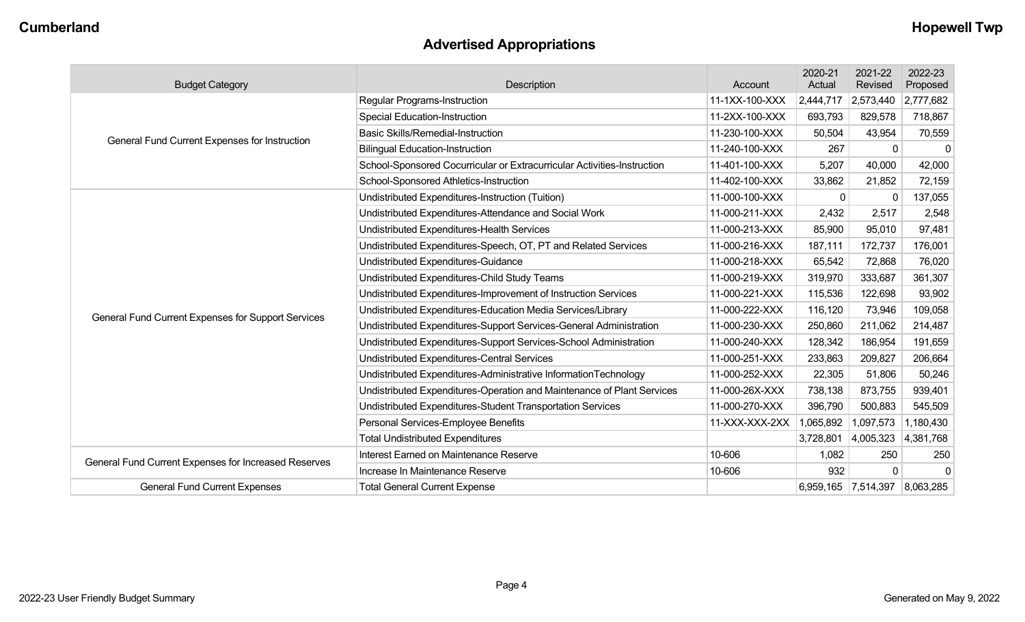# **Advertised Appropriations**

| <b>Budget Category</b>                               | <b>Description</b>                                                      | Account        | 2020-21<br>Actual   | 2021-22<br>Revised | 2022-23<br>Proposed |
|------------------------------------------------------|-------------------------------------------------------------------------|----------------|---------------------|--------------------|---------------------|
|                                                      | Regular Programs-Instruction                                            | 11-1XX-100-XXX | 2,444,717           | 2,573,440          | 2,777,682           |
|                                                      | <b>Special Education-Instruction</b>                                    | 11-2XX-100-XXX | 693,793             | 829,578            | 718,867             |
|                                                      | <b>Basic Skills/Remedial-Instruction</b>                                | 11-230-100-XXX | 50,504              | 43,954             | 70,559              |
| General Fund Current Expenses for Instruction        | <b>Bilingual Education-Instruction</b>                                  | 11-240-100-XXX | 267                 | $\Omega$           | $\mathbf 0$         |
|                                                      | School-Sponsored Cocurricular or Extracurricular Activities-Instruction | 11-401-100-XXX | 5,207               | 40,000             | 42,000              |
|                                                      | School-Sponsored Athletics-Instruction                                  | 11-402-100-XXX | 33,862              | 21,852             | 72,159              |
|                                                      | Undistributed Expenditures-Instruction (Tuition)                        | 11-000-100-XXX | 0                   | $\Omega$           | 137,055             |
|                                                      | Undistributed Expenditures-Attendance and Social Work                   | 11-000-211-XXX | 2,432               | 2,517              | 2,548               |
|                                                      | Undistributed Expenditures-Health Services                              | 11-000-213-XXX | 85,900              | 95,010             | 97,481              |
|                                                      | Undistributed Expenditures-Speech, OT, PT and Related Services          | 11-000-216-XXX | 187,111             | 172,737            | 176,001             |
|                                                      | Undistributed Expenditures-Guidance                                     | 11-000-218-XXX | 65,542              | 72,868             | 76,020              |
|                                                      | Undistributed Expenditures-Child Study Teams                            | 11-000-219-XXX | 319,970             | 333,687            | 361,307             |
|                                                      | Undistributed Expenditures-Improvement of Instruction Services          | 11-000-221-XXX | 115,536             | 122,698            | 93,902              |
| General Fund Current Expenses for Support Services   | Undistributed Expenditures-Education Media Services/Library             | 11-000-222-XXX | 116,120             | 73,946             | 109,058             |
|                                                      | Undistributed Expenditures-Support Services-General Administration      | 11-000-230-XXX | 250,860             | 211,062            | 214,487             |
|                                                      | Undistributed Expenditures-Support Services-School Administration       | 11-000-240-XXX | 128,342             | 186,954            | 191,659             |
|                                                      | <b>Undistributed Expenditures-Central Services</b>                      | 11-000-251-XXX | 233,863             | 209,827            | 206,664             |
|                                                      | Undistributed Expenditures-Administrative InformationTechnology         | 11-000-252-XXX | 22,305              | 51,806             | 50,246              |
|                                                      | Undistributed Expenditures-Operation and Maintenance of Plant Services  | 11-000-26X-XXX | 738,138             | 873,755            | 939,401             |
|                                                      | Undistributed Expenditures-Student Transportation Services              | 11-000-270-XXX | 396,790             | 500,883            | 545,509             |
|                                                      | Personal Services-Employee Benefits                                     | 11-XXX-XXX-2XX | 1,065,892           | 1,097,573          | 1,180,430           |
|                                                      | <b>Total Undistributed Expenditures</b>                                 |                | 3,728,801           | 4,005,323          | 4,381,768           |
| General Fund Current Expenses for Increased Reserves | Interest Earned on Maintenance Reserve                                  | 10-606         | 1,082               | 250                | 250                 |
|                                                      | Increase In Maintenance Reserve                                         | 10-606         | 932                 | $\Omega$           | $\mathbf 0$         |
| <b>General Fund Current Expenses</b>                 | <b>Total General Current Expense</b>                                    |                | 6,959,165 7,514,397 |                    | 8,063,285           |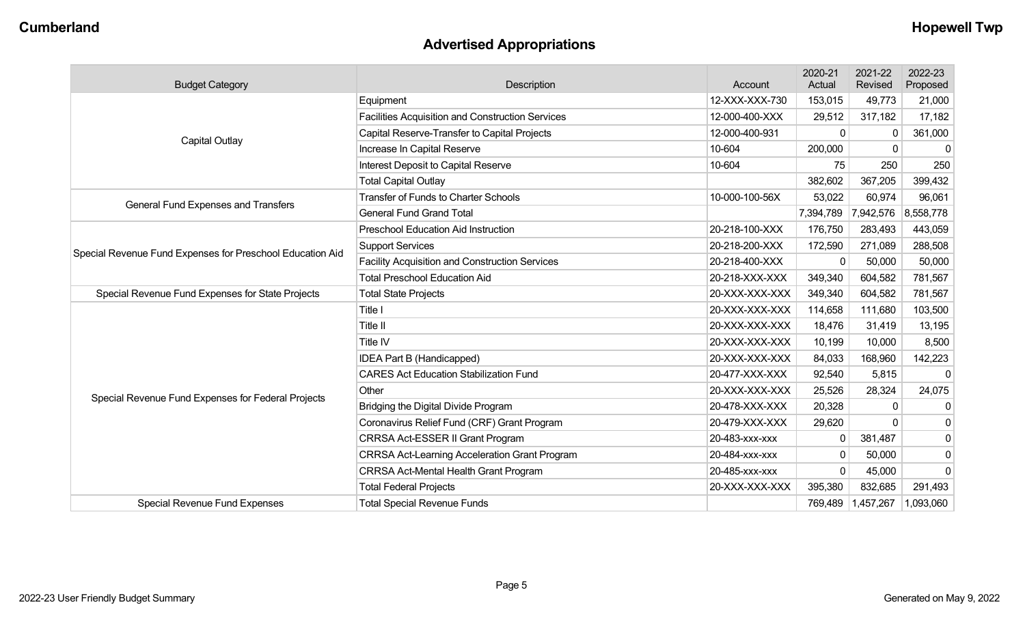# **Advertised Appropriations**

| <b>Budget Category</b>                                    | Description                                             | Account        | 2020-21<br>Actual | 2021-22<br>Revised | 2022-23<br>Proposed |
|-----------------------------------------------------------|---------------------------------------------------------|----------------|-------------------|--------------------|---------------------|
|                                                           | Equipment                                               | 12-XXX-XXX-730 | 153,015           | 49,773             | 21,000              |
|                                                           | <b>Facilities Acquisition and Construction Services</b> | 12-000-400-XXX | 29,512            | 317,182            | 17,182              |
|                                                           | Capital Reserve-Transfer to Capital Projects            | 12-000-400-931 | 0                 | $\Omega$           | 361,000             |
| Capital Outlay                                            | Increase In Capital Reserve                             | 10-604         | 200,000           | $\Omega$           | 0                   |
|                                                           | Interest Deposit to Capital Reserve                     | 10-604         | 75                | 250                | 250                 |
|                                                           | <b>Total Capital Outlay</b>                             |                | 382,602           | 367,205            | 399,432             |
|                                                           | <b>Transfer of Funds to Charter Schools</b>             | 10-000-100-56X | 53,022            | 60,974             | 96,061              |
| General Fund Expenses and Transfers                       | <b>General Fund Grand Total</b>                         |                | 7,394,789         | 7,942,576          | 8,558,778           |
|                                                           | <b>Preschool Education Aid Instruction</b>              | 20-218-100-XXX | 176,750           | 283,493            | 443,059             |
|                                                           | <b>Support Services</b>                                 | 20-218-200-XXX | 172,590           | 271,089            | 288,508             |
| Special Revenue Fund Expenses for Preschool Education Aid | <b>Facility Acquisition and Construction Services</b>   | 20-218-400-XXX | $\Omega$          | 50,000             | 50,000              |
|                                                           | <b>Total Preschool Education Aid</b>                    | 20-218-XXX-XXX | 349,340           | 604,582            | 781,567             |
| Special Revenue Fund Expenses for State Projects          | <b>Total State Projects</b>                             | 20-XXX-XXX-XXX | 349,340           | 604,582            | 781,567             |
|                                                           | Title I                                                 | 20-XXX-XXX-XXX | 114,658           | 111,680            | 103,500             |
|                                                           | Title II                                                | 20-XXX-XXX-XXX | 18,476            | 31,419             | 13,195              |
|                                                           | Title IV                                                | 20-XXX-XXX-XXX | 10,199            | 10,000             | 8,500               |
|                                                           | IDEA Part B (Handicapped)                               | 20-XXX-XXX-XXX | 84,033            | 168,960            | 142,223             |
|                                                           | <b>CARES Act Education Stabilization Fund</b>           | 20-477-XXX-XXX | 92,540            | 5,815              | $\mathbf 0$         |
|                                                           | Other                                                   | 20-XXX-XXX-XXX | 25,526            | 28,324             | 24,075              |
| Special Revenue Fund Expenses for Federal Projects        | Bridging the Digital Divide Program                     | 20-478-XXX-XXX | 20,328            | $\Omega$           | 0                   |
|                                                           | Coronavirus Relief Fund (CRF) Grant Program             | 20-479-XXX-XXX | 29,620            | $\Omega$           | $\mathbf 0$         |
|                                                           | CRRSA Act-ESSER II Grant Program                        | 20-483-xxx-xxx | 0                 | 381,487            | $\mathbf 0$         |
|                                                           | <b>CRRSA Act-Learning Acceleration Grant Program</b>    | 20-484-xxx-xxx | $\mathbf{0}$      | 50,000             | $\mathbf 0$         |
|                                                           | <b>CRRSA Act-Mental Health Grant Program</b>            | 20-485-xxx-xxx | 0                 | 45,000             | $\mathbf 0$         |
|                                                           | <b>Total Federal Projects</b>                           | 20-XXX-XXX-XXX | 395,380           | 832,685            | 291,493             |
| <b>Special Revenue Fund Expenses</b>                      | <b>Total Special Revenue Funds</b>                      |                | 769,489           | 1,457,267          | 1,093,060           |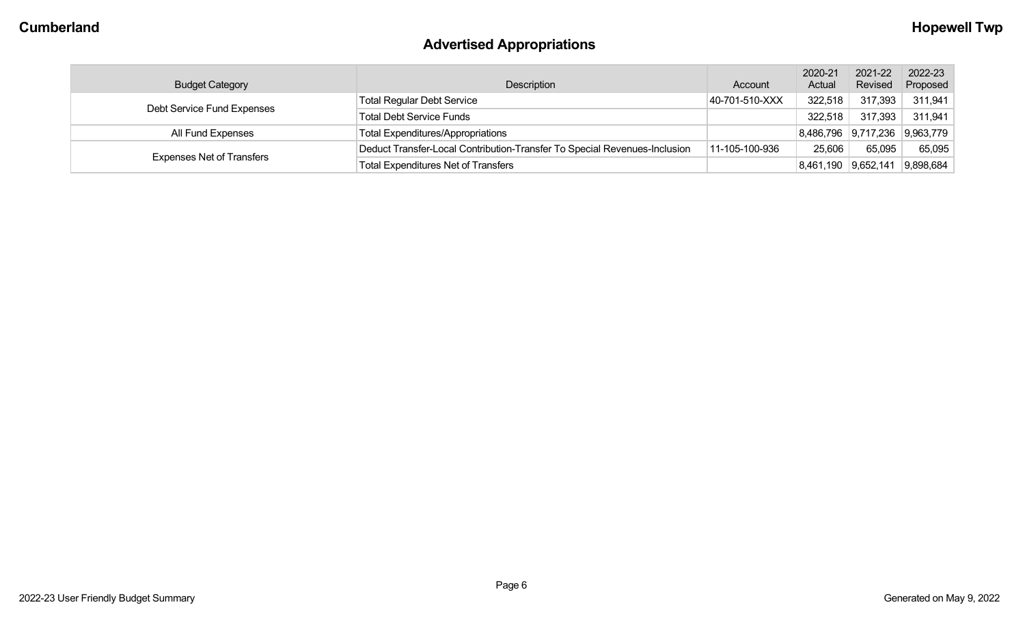# **Advertised Appropriations**

| <b>Budget Category</b>           | Description                                                               | Account        | 2020-21<br>Actual   | 2021-22<br>Revised  | 2022-23<br>Proposed |
|----------------------------------|---------------------------------------------------------------------------|----------------|---------------------|---------------------|---------------------|
| Debt Service Fund Expenses       | <b>Total Regular Debt Service</b>                                         | 40-701-510-XXX | 322,518             | 317,393             | 311,941             |
|                                  | <b>Total Debt Service Funds</b>                                           |                | 322,518             | 317,393             | 311,941             |
| All Fund Expenses                | <b>Total Expenditures/Appropriations</b>                                  |                |                     | 8,486,796 9,717,236 | 9,963,779           |
|                                  | Deduct Transfer-Local Contribution-Transfer To Special Revenues-Inclusion | 11-105-100-936 | 25,606              | 65,095              | 65,095              |
| <b>Expenses Net of Transfers</b> | Total Expenditures Net of Transfers                                       |                | 8,461,190 9,652,141 |                     | 9,898,684           |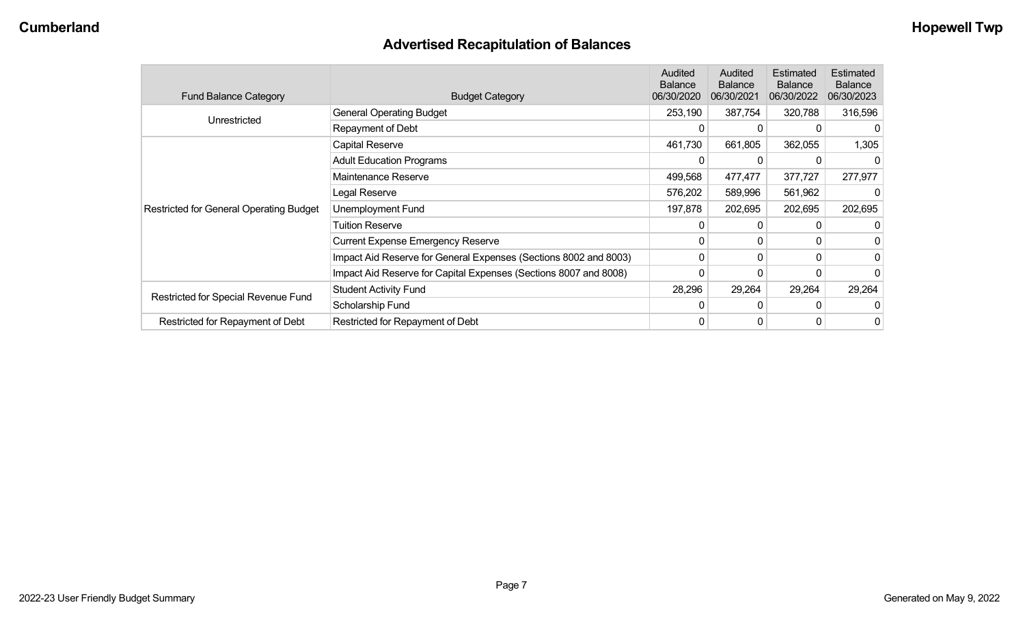# **Advertised Recapitulation of Balances**

| <b>Fund Balance Category</b>                   | <b>Budget Category</b>                                           | Audited<br><b>Balance</b><br>06/30/2020 | Audited<br><b>Balance</b><br>06/30/2021 | Estimated<br><b>Balance</b><br>06/30/2022 | Estimated<br><b>Balance</b><br>06/30/2023 |
|------------------------------------------------|------------------------------------------------------------------|-----------------------------------------|-----------------------------------------|-------------------------------------------|-------------------------------------------|
| Unrestricted                                   | <b>General Operating Budget</b>                                  | 253,190                                 | 387,754                                 | 320,788                                   | 316,596                                   |
|                                                | Repayment of Debt                                                | 0                                       |                                         |                                           |                                           |
|                                                | Capital Reserve                                                  | 461,730                                 | 661,805                                 | 362,055                                   | 1,305                                     |
|                                                | <b>Adult Education Programs</b>                                  | 0                                       |                                         |                                           | 0                                         |
|                                                | Maintenance Reserve                                              | 499,568                                 | 477,477                                 | 377,727                                   | 277,977                                   |
|                                                | Legal Reserve                                                    | 576,202                                 | 589,996                                 | 561,962                                   |                                           |
| <b>Restricted for General Operating Budget</b> | Unemployment Fund                                                | 197,878                                 | 202,695                                 | 202,695                                   | 202,695                                   |
|                                                | Tuition Reserve                                                  | 0                                       |                                         |                                           | 0                                         |
|                                                | <b>Current Expense Emergency Reserve</b>                         | 0                                       | 0                                       | 0                                         |                                           |
|                                                | Impact Aid Reserve for General Expenses (Sections 8002 and 8003) | 0                                       | $\Omega$                                | $\Omega$                                  | 0                                         |
|                                                | Impact Aid Reserve for Capital Expenses (Sections 8007 and 8008) | 0                                       |                                         |                                           | 0                                         |
|                                                | <b>Student Activity Fund</b>                                     | 28,296                                  | 29,264                                  | 29,264                                    | 29,264                                    |
| Restricted for Special Revenue Fund            | Scholarship Fund                                                 | 0                                       |                                         |                                           |                                           |
| Restricted for Repayment of Debt               | Restricted for Repayment of Debt                                 | 0                                       |                                         |                                           | 0                                         |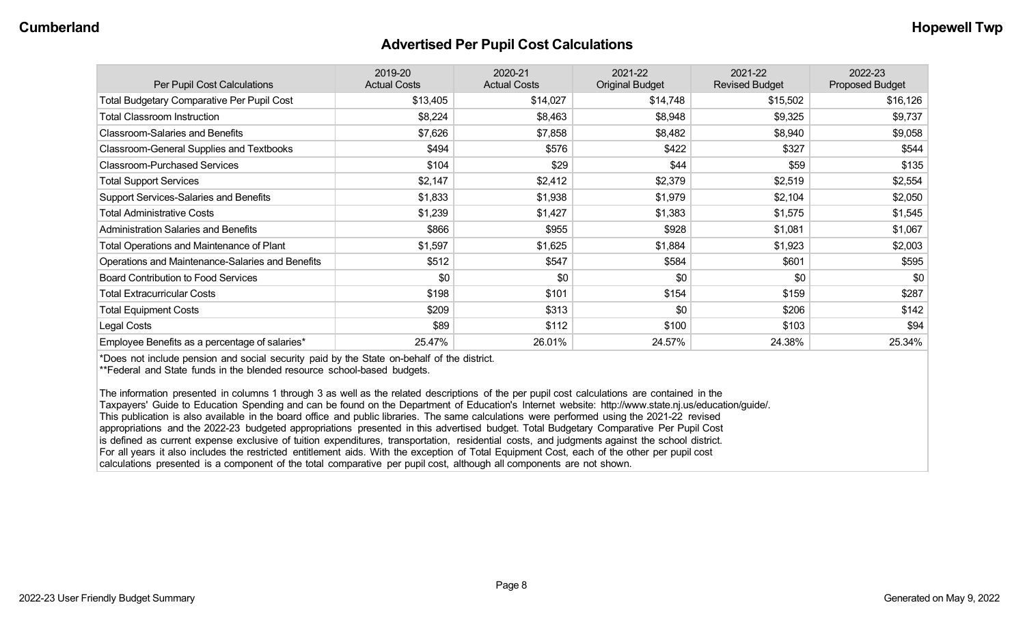#### **Advertised Per Pupil Cost Calculations**

| Per Pupil Cost Calculations                       | 2019-20<br><b>Actual Costs</b> | 2020-21<br><b>Actual Costs</b> | 2021-22<br><b>Original Budget</b> | 2021-22<br><b>Revised Budget</b> | 2022-23<br><b>Proposed Budget</b> |
|---------------------------------------------------|--------------------------------|--------------------------------|-----------------------------------|----------------------------------|-----------------------------------|
| <b>Total Budgetary Comparative Per Pupil Cost</b> | \$13,405                       | \$14,027                       | \$14,748                          | \$15,502                         | \$16,126                          |
| <b>Total Classroom Instruction</b>                | \$8,224                        | \$8,463                        | \$8,948                           | \$9,325                          | \$9,737                           |
| <b>Classroom-Salaries and Benefits</b>            | \$7,626                        | \$7,858                        | \$8,482                           | \$8,940                          | \$9,058                           |
| Classroom-General Supplies and Textbooks          | \$494                          | \$576                          | \$422                             | \$327                            | \$544                             |
| <b>Classroom-Purchased Services</b>               | \$104                          | \$29                           | \$44                              | \$59                             | \$135                             |
| <b>Total Support Services</b>                     | \$2,147                        | \$2,412                        | \$2,379                           | \$2,519                          | \$2,554                           |
| Support Services-Salaries and Benefits            | \$1,833                        | \$1,938                        | \$1,979                           | \$2,104                          | \$2,050                           |
| <b>Total Administrative Costs</b>                 | \$1,239                        | \$1,427                        | \$1,383                           | \$1,575                          | \$1,545                           |
| <b>Administration Salaries and Benefits</b>       | \$866                          | \$955                          | \$928                             | \$1,081                          | \$1,067                           |
| Total Operations and Maintenance of Plant         | \$1,597                        | \$1,625                        | \$1,884                           | \$1,923                          | \$2,003                           |
| Operations and Maintenance-Salaries and Benefits  | \$512                          | \$547                          | \$584                             | \$601                            | \$595                             |
| <b>Board Contribution to Food Services</b>        | \$0                            | \$0                            | \$0                               | \$0                              | \$0                               |
| <b>Total Extracurricular Costs</b>                | \$198                          | \$101                          | \$154                             | \$159                            | \$287                             |
| <b>Total Equipment Costs</b>                      | \$209                          | \$313                          | \$0                               | \$206                            | \$142                             |
| Legal Costs                                       | \$89                           | \$112                          | \$100                             | \$103                            | \$94                              |
| Employee Benefits as a percentage of salaries*    | 25.47%                         | 26.01%                         | 24.57%                            | 24.38%                           | 25.34%                            |

\*Does not include pension and social security paid by the State on-behalf of the district.

\*\*Federal and State funds in the blended resource school-based budgets.

The information presented in columns 1 through 3 as well as the related descriptions of the per pupil cost calculations are contained in the Taxpayers' Guide to Education Spending and can be found on the Department of Education's Internet website: http://www.state.nj.us/education/guide/. This publication is also available in the board office and public libraries. The same calculations were performed using the 2021-22 revised appropriations and the 2022-23 budgeted appropriations presented in this advertised budget. Total Budgetary Comparative Per Pupil Cost is defined as current expense exclusive of tuition expenditures, transportation, residential costs, and judgments against the school district. For all years it also includes the restricted entitlement aids. With the exception of Total Equipment Cost, each of the other per pupil cost calculations presented is a component of the total comparative per pupil cost, although all components are not shown.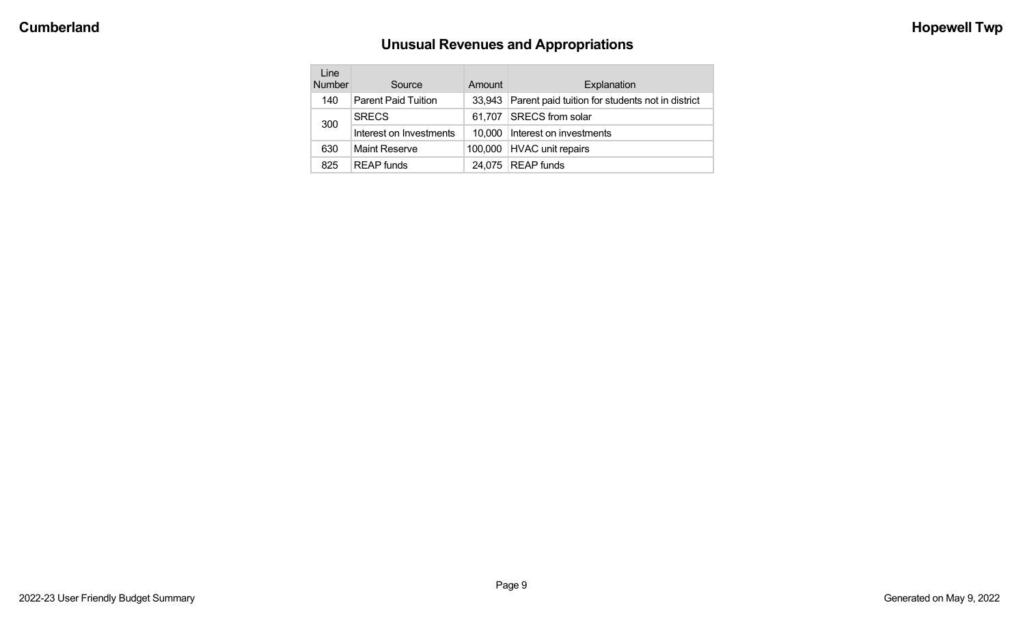# **Unusual Revenues and Appropriations**

| Line<br><b>Number</b> | Source                     | Amount | Explanation                                      |
|-----------------------|----------------------------|--------|--------------------------------------------------|
| 140                   | <b>Parent Paid Tuition</b> | 33.943 | Parent paid tuition for students not in district |
| 300                   | <b>SRECS</b>               |        | 61,707   SRECS from solar                        |
|                       | Interest on Investments    |        | 10,000   Interest on investments                 |
| 630                   | <b>Maint Reserve</b>       |        | 100,000   HVAC unit repairs                      |
| 825                   | <b>REAP</b> funds          |        | $24,075$ REAP funds                              |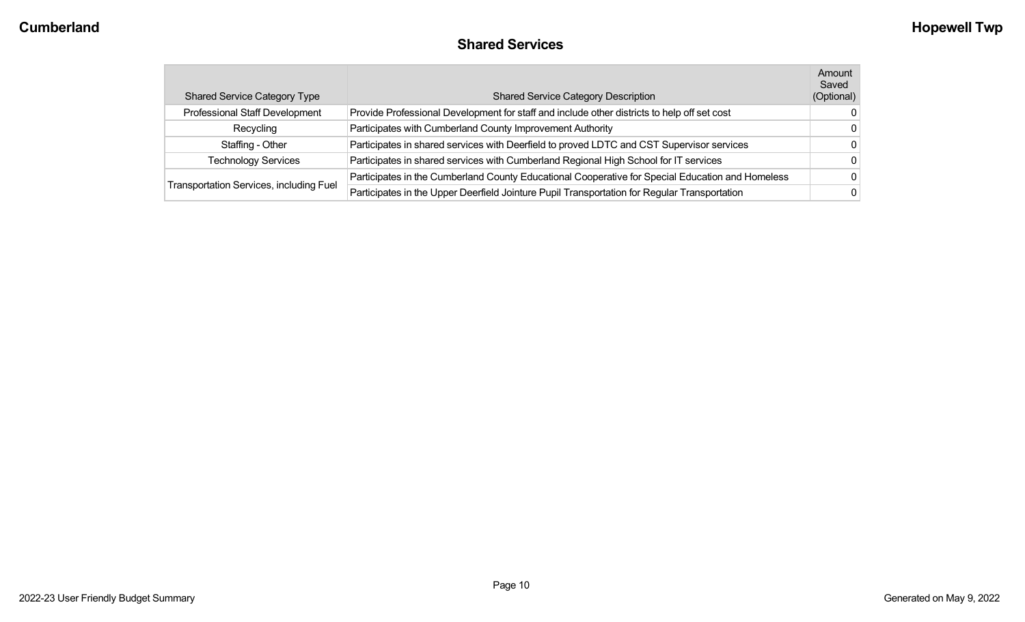# **Shared Services**

| <b>Shared Service Category Type</b>            | <b>Shared Service Category Description</b>                                                       | Amount<br>Saved<br>(Optional) |
|------------------------------------------------|--------------------------------------------------------------------------------------------------|-------------------------------|
| Professional Staff Development                 | Provide Professional Development for staff and include other districts to help off set cost      | $\Omega$                      |
| Recycling                                      | Participates with Cumberland County Improvement Authority                                        | $\Omega$                      |
| Staffing - Other                               | Participates in shared services with Deerfield to proved LDTC and CST Supervisor services        | $\Omega$                      |
| <b>Technology Services</b>                     | Participates in shared services with Cumberland Regional High School for IT services             | $\Omega$                      |
|                                                | Participates in the Cumberland County Educational Cooperative for Special Education and Homeless | $\Omega$                      |
| <b>Transportation Services, including Fuel</b> | Participates in the Upper Deerfield Jointure Pupil Transportation for Regular Transportation     | 0                             |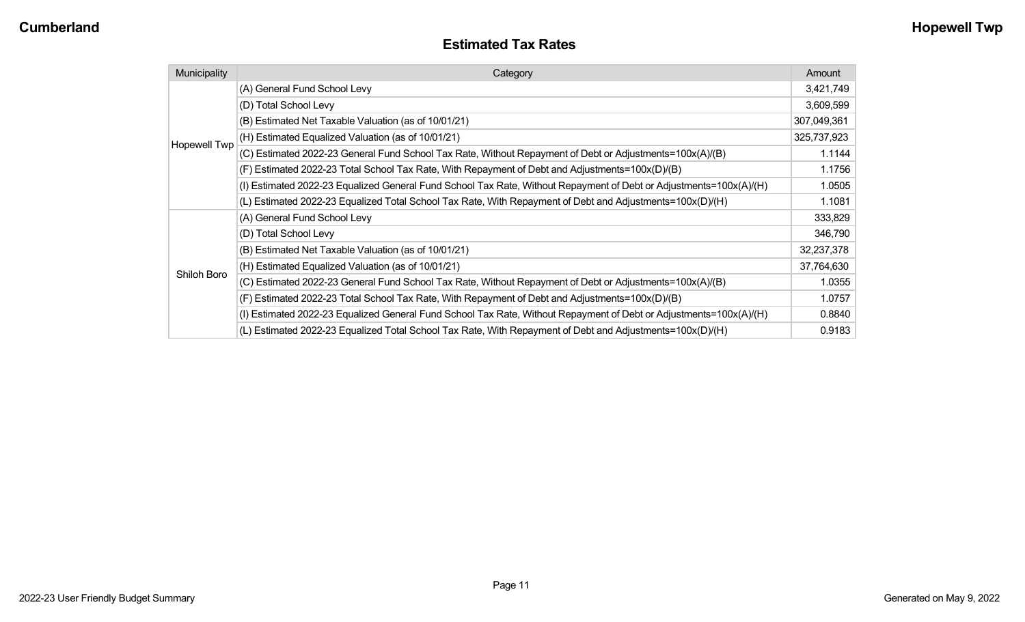#### **Estimated Tax Rates**

| Municipality | Category                                                                                                           | Amount      |
|--------------|--------------------------------------------------------------------------------------------------------------------|-------------|
|              | (A) General Fund School Levy                                                                                       | 3,421,749   |
|              | (D) Total School Levy                                                                                              | 3,609,599   |
|              | (B) Estimated Net Taxable Valuation (as of 10/01/21)                                                               | 307,049,361 |
| Hopewell Twp | (H) Estimated Equalized Valuation (as of 10/01/21)                                                                 | 325,737,923 |
|              | (C) Estimated 2022-23 General Fund School Tax Rate, Without Repayment of Debt or Adjustments=100x(A)/(B)           | 1.1144      |
|              | (F) Estimated 2022-23 Total School Tax Rate, With Repayment of Debt and Adjustments=100x(D)/(B)                    | 1.1756      |
|              | (I) Estimated 2022-23 Equalized General Fund School Tax Rate, Without Repayment of Debt or Adjustments=100x(A)/(H) | 1.0505      |
|              | (L) Estimated 2022-23 Equalized Total School Tax Rate, With Repayment of Debt and Adjustments=100x(D)/(H)          | 1.1081      |
|              | (A) General Fund School Levy                                                                                       | 333,829     |
|              | (D) Total School Levy                                                                                              | 346,790     |
|              | (B) Estimated Net Taxable Valuation (as of 10/01/21)                                                               | 32,237,378  |
|              | (H) Estimated Equalized Valuation (as of 10/01/21)                                                                 | 37,764,630  |
| Shiloh Boro  | (C) Estimated 2022-23 General Fund School Tax Rate, Without Repayment of Debt or Adjustments=100x(A)/(B)           | 1.0355      |
|              | (F) Estimated 2022-23 Total School Tax Rate, With Repayment of Debt and Adjustments=100x(D)/(B)                    | 1.0757      |
|              | (I) Estimated 2022-23 Equalized General Fund School Tax Rate, Without Repayment of Debt or Adjustments=100x(A)/(H) | 0.8840      |
|              | (L) Estimated 2022-23 Equalized Total School Tax Rate, With Repayment of Debt and Adjustments=100x(D)/(H)          | 0.9183      |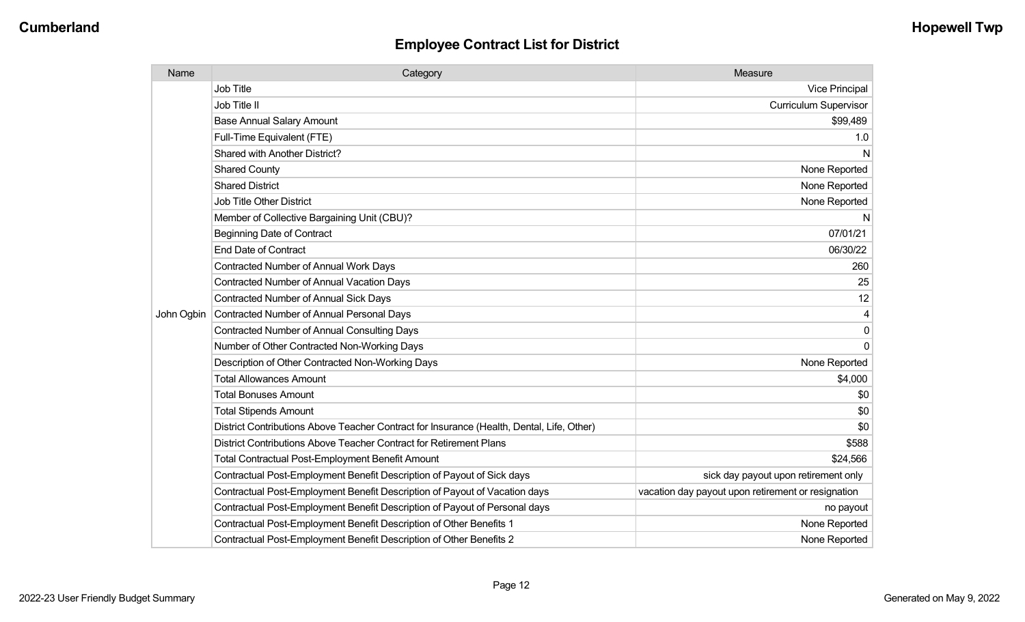| Name       | Category                                                                                  | Measure                                            |
|------------|-------------------------------------------------------------------------------------------|----------------------------------------------------|
|            | Job Title                                                                                 | <b>Vice Principal</b>                              |
|            | Job Title II                                                                              | <b>Curriculum Supervisor</b>                       |
|            | <b>Base Annual Salary Amount</b>                                                          | \$99,489                                           |
|            | Full-Time Equivalent (FTE)                                                                | 1.0                                                |
|            | Shared with Another District?                                                             | N                                                  |
|            | <b>Shared County</b>                                                                      | None Reported                                      |
|            | <b>Shared District</b>                                                                    | None Reported                                      |
|            | <b>Job Title Other District</b>                                                           | None Reported                                      |
|            | Member of Collective Bargaining Unit (CBU)?                                               | N                                                  |
|            | <b>Beginning Date of Contract</b>                                                         | 07/01/21                                           |
|            | <b>End Date of Contract</b>                                                               | 06/30/22                                           |
|            | <b>Contracted Number of Annual Work Days</b>                                              | 260                                                |
|            | <b>Contracted Number of Annual Vacation Days</b>                                          | 25                                                 |
|            | <b>Contracted Number of Annual Sick Days</b>                                              | 12                                                 |
| John Ogbin | Contracted Number of Annual Personal Days                                                 | 4                                                  |
|            | <b>Contracted Number of Annual Consulting Days</b>                                        | $\mathbf 0$                                        |
|            | Number of Other Contracted Non-Working Days                                               | $\mathbf 0$                                        |
|            | Description of Other Contracted Non-Working Days                                          | None Reported                                      |
|            | <b>Total Allowances Amount</b>                                                            | \$4,000                                            |
|            | <b>Total Bonuses Amount</b>                                                               | \$0                                                |
|            | <b>Total Stipends Amount</b>                                                              | \$0                                                |
|            | District Contributions Above Teacher Contract for Insurance (Health, Dental, Life, Other) | \$0                                                |
|            | District Contributions Above Teacher Contract for Retirement Plans                        | \$588                                              |
|            | <b>Total Contractual Post-Employment Benefit Amount</b>                                   | \$24,566                                           |
|            | Contractual Post-Employment Benefit Description of Payout of Sick days                    | sick day payout upon retirement only               |
|            | Contractual Post-Employment Benefit Description of Payout of Vacation days                | vacation day payout upon retirement or resignation |
|            | Contractual Post-Employment Benefit Description of Payout of Personal days                | no payout                                          |
|            | Contractual Post-Employment Benefit Description of Other Benefits 1                       | None Reported                                      |
|            | Contractual Post-Employment Benefit Description of Other Benefits 2                       | None Reported                                      |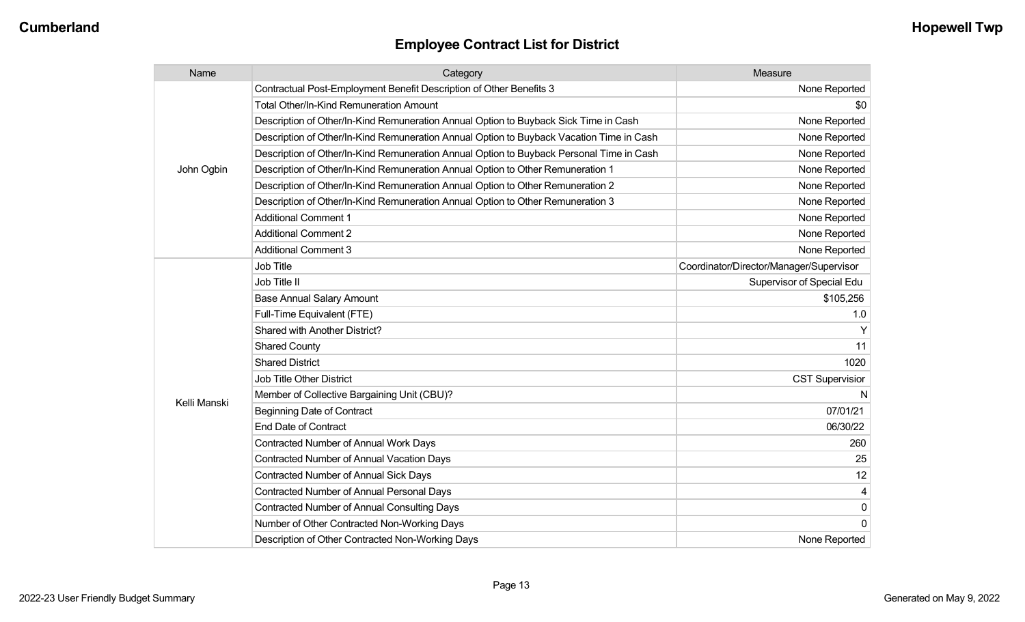| Name         | Category                                                                                 | Measure                                 |
|--------------|------------------------------------------------------------------------------------------|-----------------------------------------|
| John Ogbin   | Contractual Post-Employment Benefit Description of Other Benefits 3                      | None Reported                           |
|              | Total Other/In-Kind Remuneration Amount                                                  | \$0                                     |
|              | Description of Other/In-Kind Remuneration Annual Option to Buyback Sick Time in Cash     | None Reported                           |
|              | Description of Other/In-Kind Remuneration Annual Option to Buyback Vacation Time in Cash | None Reported                           |
|              | Description of Other/In-Kind Remuneration Annual Option to Buyback Personal Time in Cash | None Reported                           |
|              | Description of Other/In-Kind Remuneration Annual Option to Other Remuneration 1          | None Reported                           |
|              | Description of Other/In-Kind Remuneration Annual Option to Other Remuneration 2          | None Reported                           |
|              | Description of Other/In-Kind Remuneration Annual Option to Other Remuneration 3          | None Reported                           |
|              | <b>Additional Comment 1</b>                                                              | None Reported                           |
|              | <b>Additional Comment 2</b>                                                              | None Reported                           |
|              | <b>Additional Comment 3</b>                                                              | None Reported                           |
|              | Job Title                                                                                | Coordinator/Director/Manager/Supervisor |
|              | Job Title II                                                                             | Supervisor of Special Edu               |
|              | <b>Base Annual Salary Amount</b>                                                         | \$105,256                               |
|              | Full-Time Equivalent (FTE)                                                               | 1.0                                     |
|              | Shared with Another District?                                                            | Υ                                       |
|              | <b>Shared County</b>                                                                     | 11                                      |
|              | <b>Shared District</b>                                                                   | 1020                                    |
|              | Job Title Other District                                                                 | <b>CST Supervisior</b>                  |
| Kelli Manski | Member of Collective Bargaining Unit (CBU)?                                              | N                                       |
|              | <b>Beginning Date of Contract</b>                                                        | 07/01/21                                |
|              | <b>End Date of Contract</b>                                                              | 06/30/22                                |
|              | <b>Contracted Number of Annual Work Days</b>                                             | 260                                     |
|              | <b>Contracted Number of Annual Vacation Days</b>                                         | 25                                      |
|              | <b>Contracted Number of Annual Sick Days</b>                                             | 12                                      |
|              | <b>Contracted Number of Annual Personal Days</b>                                         | 4                                       |
|              | <b>Contracted Number of Annual Consulting Days</b>                                       | 0                                       |
|              | Number of Other Contracted Non-Working Days                                              | $\overline{0}$                          |
|              | Description of Other Contracted Non-Working Days                                         | None Reported                           |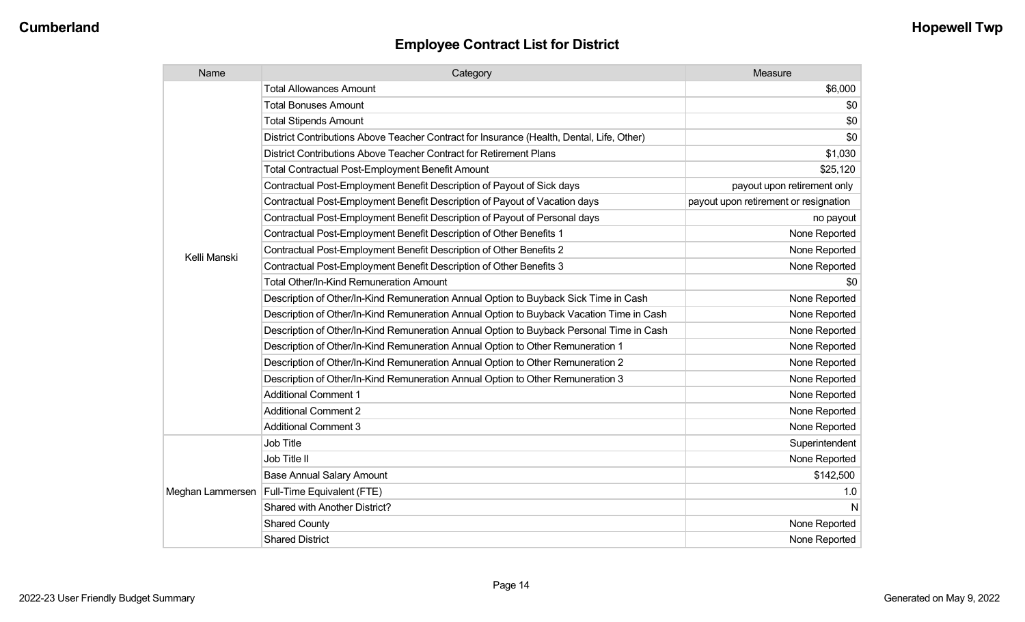| Name             | Category                                                                                  | Measure                               |
|------------------|-------------------------------------------------------------------------------------------|---------------------------------------|
|                  | <b>Total Allowances Amount</b>                                                            | \$6,000                               |
|                  | <b>Total Bonuses Amount</b>                                                               | \$0                                   |
|                  | <b>Total Stipends Amount</b>                                                              | \$0                                   |
|                  | District Contributions Above Teacher Contract for Insurance (Health, Dental, Life, Other) | \$0                                   |
|                  | District Contributions Above Teacher Contract for Retirement Plans                        | \$1,030                               |
|                  | <b>Total Contractual Post-Employment Benefit Amount</b>                                   | \$25,120                              |
|                  | Contractual Post-Employment Benefit Description of Payout of Sick days                    | payout upon retirement only           |
|                  | Contractual Post-Employment Benefit Description of Payout of Vacation days                | payout upon retirement or resignation |
|                  | Contractual Post-Employment Benefit Description of Payout of Personal days                | no payout                             |
|                  | Contractual Post-Employment Benefit Description of Other Benefits 1                       | None Reported                         |
| Kelli Manski     | Contractual Post-Employment Benefit Description of Other Benefits 2                       | None Reported                         |
|                  | Contractual Post-Employment Benefit Description of Other Benefits 3                       | None Reported                         |
|                  | Total Other/In-Kind Remuneration Amount                                                   | \$0                                   |
|                  | Description of Other/In-Kind Remuneration Annual Option to Buyback Sick Time in Cash      | None Reported                         |
|                  | Description of Other/In-Kind Remuneration Annual Option to Buyback Vacation Time in Cash  | None Reported                         |
|                  | Description of Other/In-Kind Remuneration Annual Option to Buyback Personal Time in Cash  | None Reported                         |
|                  | Description of Other/In-Kind Remuneration Annual Option to Other Remuneration 1           | None Reported                         |
|                  | Description of Other/In-Kind Remuneration Annual Option to Other Remuneration 2           | None Reported                         |
|                  | Description of Other/In-Kind Remuneration Annual Option to Other Remuneration 3           | None Reported                         |
|                  | <b>Additional Comment 1</b>                                                               | None Reported                         |
|                  | <b>Additional Comment 2</b>                                                               | None Reported                         |
|                  | <b>Additional Comment 3</b>                                                               | None Reported                         |
| Meghan Lammersen | Job Title                                                                                 | Superintendent                        |
|                  | Job Title II                                                                              | None Reported                         |
|                  | <b>Base Annual Salary Amount</b>                                                          | \$142,500                             |
|                  | Full-Time Equivalent (FTE)                                                                | 1.0                                   |
|                  | Shared with Another District?                                                             | N                                     |
|                  | <b>Shared County</b>                                                                      | None Reported                         |
|                  | <b>Shared District</b>                                                                    | None Reported                         |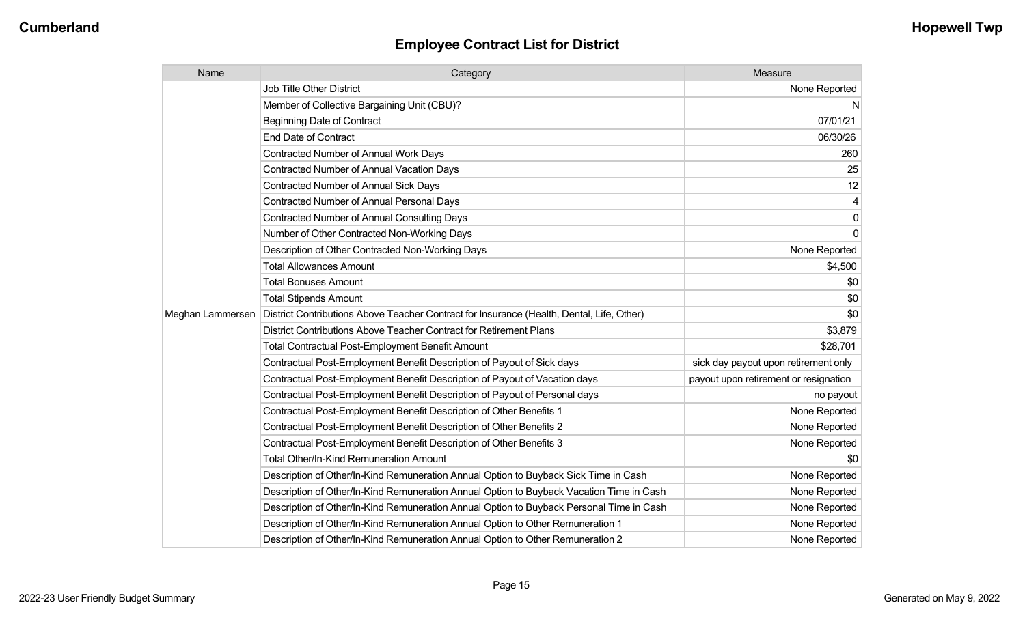| Name             | Category                                                                                  | Measure                               |
|------------------|-------------------------------------------------------------------------------------------|---------------------------------------|
|                  | <b>Job Title Other District</b>                                                           | None Reported                         |
|                  | Member of Collective Bargaining Unit (CBU)?                                               | N                                     |
|                  | <b>Beginning Date of Contract</b>                                                         | 07/01/21                              |
|                  | <b>End Date of Contract</b>                                                               | 06/30/26                              |
|                  | <b>Contracted Number of Annual Work Days</b>                                              | 260                                   |
|                  | <b>Contracted Number of Annual Vacation Days</b>                                          | 25                                    |
|                  | Contracted Number of Annual Sick Days                                                     | 12                                    |
|                  | Contracted Number of Annual Personal Days                                                 | $\overline{4}$                        |
|                  | <b>Contracted Number of Annual Consulting Days</b>                                        | $\overline{0}$                        |
|                  | Number of Other Contracted Non-Working Days                                               | $\overline{0}$                        |
|                  | Description of Other Contracted Non-Working Days                                          | None Reported                         |
|                  | <b>Total Allowances Amount</b>                                                            | \$4,500                               |
|                  | <b>Total Bonuses Amount</b>                                                               | \$0                                   |
|                  | <b>Total Stipends Amount</b>                                                              | \$0                                   |
| Meghan Lammersen | District Contributions Above Teacher Contract for Insurance (Health, Dental, Life, Other) | \$0                                   |
|                  | District Contributions Above Teacher Contract for Retirement Plans                        | \$3,879                               |
|                  | <b>Total Contractual Post-Employment Benefit Amount</b>                                   | \$28,701                              |
|                  | Contractual Post-Employment Benefit Description of Payout of Sick days                    | sick day payout upon retirement only  |
|                  | Contractual Post-Employment Benefit Description of Payout of Vacation days                | payout upon retirement or resignation |
|                  | Contractual Post-Employment Benefit Description of Payout of Personal days                | no payout                             |
|                  | Contractual Post-Employment Benefit Description of Other Benefits 1                       | None Reported                         |
|                  | Contractual Post-Employment Benefit Description of Other Benefits 2                       | None Reported                         |
|                  | Contractual Post-Employment Benefit Description of Other Benefits 3                       | None Reported                         |
|                  | <b>Total Other/In-Kind Remuneration Amount</b>                                            | \$0                                   |
|                  | Description of Other/In-Kind Remuneration Annual Option to Buyback Sick Time in Cash      | None Reported                         |
|                  | Description of Other/In-Kind Remuneration Annual Option to Buyback Vacation Time in Cash  | None Reported                         |
|                  | Description of Other/In-Kind Remuneration Annual Option to Buyback Personal Time in Cash  | None Reported                         |
|                  | Description of Other/In-Kind Remuneration Annual Option to Other Remuneration 1           | None Reported                         |
|                  | Description of Other/In-Kind Remuneration Annual Option to Other Remuneration 2           | None Reported                         |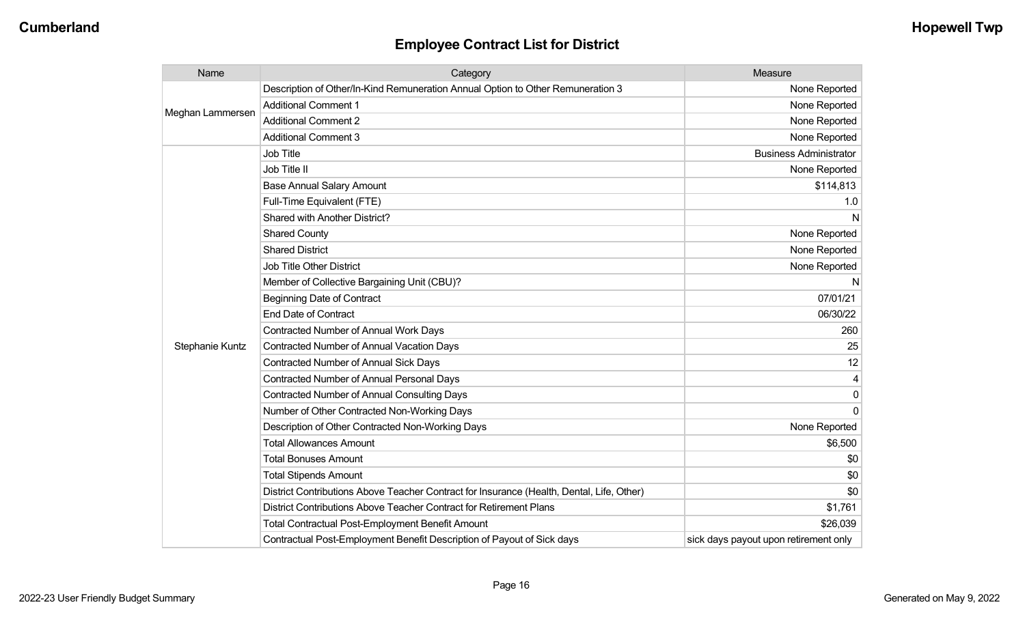| Name             | Category                                                                                  | Measure                               |
|------------------|-------------------------------------------------------------------------------------------|---------------------------------------|
| Meghan Lammersen | Description of Other/In-Kind Remuneration Annual Option to Other Remuneration 3           | None Reported                         |
|                  | <b>Additional Comment 1</b>                                                               | None Reported                         |
|                  | <b>Additional Comment 2</b>                                                               | None Reported                         |
|                  | <b>Additional Comment 3</b>                                                               | None Reported                         |
|                  | <b>Job Title</b>                                                                          | <b>Business Administrator</b>         |
|                  | Job Title II                                                                              | None Reported                         |
|                  | <b>Base Annual Salary Amount</b>                                                          | \$114,813                             |
|                  | Full-Time Equivalent (FTE)                                                                | 1.0                                   |
|                  | <b>Shared with Another District?</b>                                                      | N                                     |
|                  | <b>Shared County</b>                                                                      | None Reported                         |
|                  | <b>Shared District</b>                                                                    | None Reported                         |
|                  | <b>Job Title Other District</b>                                                           | None Reported                         |
|                  | Member of Collective Bargaining Unit (CBU)?                                               | N                                     |
|                  | <b>Beginning Date of Contract</b>                                                         | 07/01/21                              |
|                  | <b>End Date of Contract</b>                                                               | 06/30/22                              |
|                  | Contracted Number of Annual Work Days                                                     | 260                                   |
| Stephanie Kuntz  | <b>Contracted Number of Annual Vacation Days</b>                                          | 25                                    |
|                  | <b>Contracted Number of Annual Sick Days</b>                                              | 12                                    |
|                  | <b>Contracted Number of Annual Personal Days</b>                                          | 4                                     |
|                  | <b>Contracted Number of Annual Consulting Days</b>                                        | $\mathbf{0}$                          |
|                  | Number of Other Contracted Non-Working Days                                               | $\Omega$                              |
|                  | Description of Other Contracted Non-Working Days                                          | None Reported                         |
|                  | <b>Total Allowances Amount</b>                                                            | \$6,500                               |
|                  | <b>Total Bonuses Amount</b>                                                               | \$0                                   |
|                  | <b>Total Stipends Amount</b>                                                              | \$0                                   |
|                  | District Contributions Above Teacher Contract for Insurance (Health, Dental, Life, Other) | \$0                                   |
|                  | District Contributions Above Teacher Contract for Retirement Plans                        | \$1,761                               |
|                  | <b>Total Contractual Post-Employment Benefit Amount</b>                                   | \$26,039                              |
|                  | Contractual Post-Employment Benefit Description of Payout of Sick days                    | sick days payout upon retirement only |